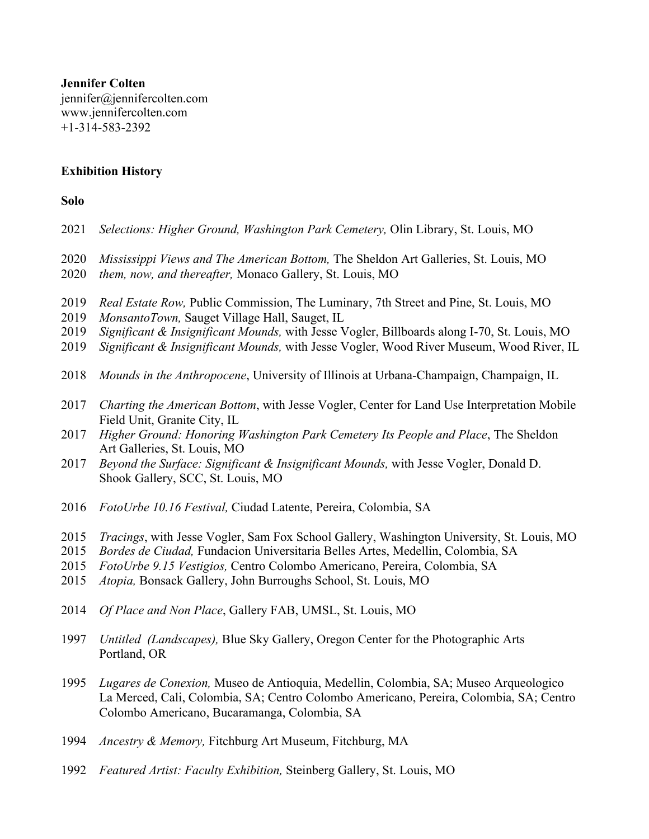**Jennifer Colten** jennifer@jennifercolten.com www.jennifercolten.com +1-314-583-2392

# **Exhibition History**

# **Solo**

| 2021                         | Selections: Higher Ground, Washington Park Cemetery, Olin Library, St. Louis, MO                                                                                                                                                                                                                                                 |
|------------------------------|----------------------------------------------------------------------------------------------------------------------------------------------------------------------------------------------------------------------------------------------------------------------------------------------------------------------------------|
| 2020<br>2020                 | Mississippi Views and The American Bottom, The Sheldon Art Galleries, St. Louis, MO<br>them, now, and thereafter, Monaco Gallery, St. Louis, MO                                                                                                                                                                                  |
| 2019<br>2019<br>2019<br>2019 | Real Estate Row, Public Commission, The Luminary, 7th Street and Pine, St. Louis, MO<br>MonsantoTown, Sauget Village Hall, Sauget, IL<br>Significant & Insignificant Mounds, with Jesse Vogler, Billboards along I-70, St. Louis, MO<br>Significant & Insignificant Mounds, with Jesse Vogler, Wood River Museum, Wood River, IL |
| 2018                         | Mounds in the Anthropocene, University of Illinois at Urbana-Champaign, Champaign, IL                                                                                                                                                                                                                                            |
| 2017<br>2017                 | Charting the American Bottom, with Jesse Vogler, Center for Land Use Interpretation Mobile<br>Field Unit, Granite City, IL<br>Higher Ground: Honoring Washington Park Cemetery Its People and Place, The Sheldon                                                                                                                 |
| 2017                         | Art Galleries, St. Louis, MO<br>Beyond the Surface: Significant & Insignificant Mounds, with Jesse Vogler, Donald D.<br>Shook Gallery, SCC, St. Louis, MO                                                                                                                                                                        |
| 2016                         | FotoUrbe 10.16 Festival, Ciudad Latente, Pereira, Colombia, SA                                                                                                                                                                                                                                                                   |
| 2015<br>2015<br>2015<br>2015 | Tracings, with Jesse Vogler, Sam Fox School Gallery, Washington University, St. Louis, MO<br>Bordes de Ciudad, Fundacion Universitaria Belles Artes, Medellin, Colombia, SA<br>FotoUrbe 9.15 Vestigios, Centro Colombo Americano, Pereira, Colombia, SA<br>Atopia, Bonsack Gallery, John Burroughs School, St. Louis, MO         |
| 2014                         | Of Place and Non Place, Gallery FAB, UMSL, St. Louis, MO                                                                                                                                                                                                                                                                         |
| 1997                         | Untitled (Landscapes), Blue Sky Gallery, Oregon Center for the Photographic Arts<br>Portland, OR                                                                                                                                                                                                                                 |
| 1995                         | Lugares de Conexion, Museo de Antioquia, Medellin, Colombia, SA; Museo Arqueologico<br>La Merced, Cali, Colombia, SA; Centro Colombo Americano, Pereira, Colombia, SA; Centro<br>Colombo Americano, Bucaramanga, Colombia, SA                                                                                                    |
| 1994                         | Ancestry & Memory, Fitchburg Art Museum, Fitchburg, MA                                                                                                                                                                                                                                                                           |
| 1992                         | Featured Artist: Faculty Exhibition, Steinberg Gallery, St. Louis, MO                                                                                                                                                                                                                                                            |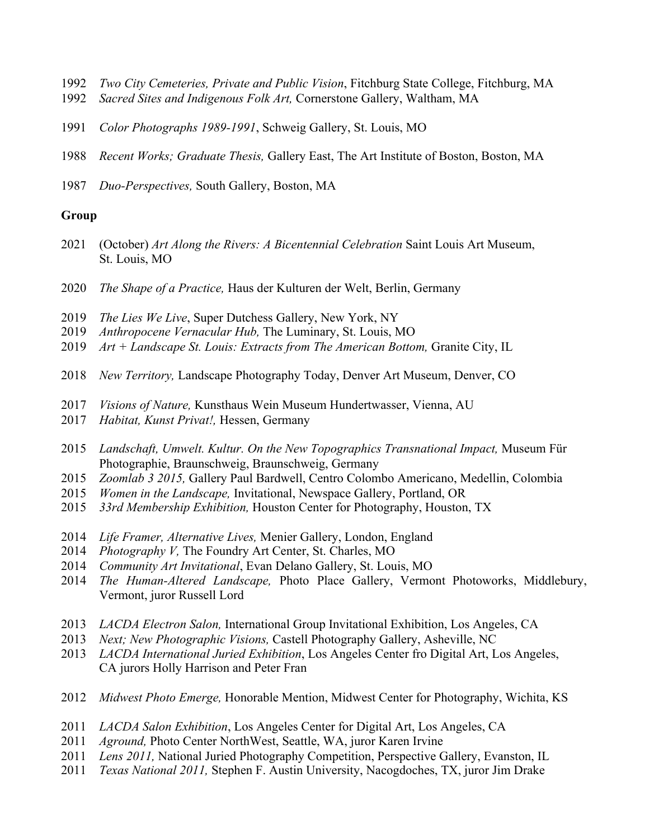- *Two City Cemeteries, Private and Public Vision*, Fitchburg State College, Fitchburg, MA
- *Sacred Sites and Indigenous Folk Art,* Cornerstone Gallery, Waltham, MA
- *Color Photographs 1989-1991*, Schweig Gallery, St. Louis, MO
- *Recent Works; Graduate Thesis,* Gallery East, The Art Institute of Boston, Boston, MA
- *Duo-Perspectives,* South Gallery, Boston, MA

# **Group**

- (October) *Art Along the Rivers: A Bicentennial Celebration* Saint Louis Art Museum, St. Louis, MO
- *The Shape of a Practice,* Haus der Kulturen der Welt, Berlin, Germany
- *The Lies We Live*, Super Dutchess Gallery, New York, NY
- *Anthropocene Vernacular Hub,* The Luminary, St. Louis, MO
- *Art + Landscape St. Louis: Extracts from The American Bottom, Granite City, IL*
- *New Territory,* Landscape Photography Today, Denver Art Museum, Denver, CO
- *Visions of Nature,* Kunsthaus Wein Museum Hundertwasser, Vienna, AU
- *Habitat, Kunst Privat!,* Hessen, Germany
- *Landschaft, Umwelt. Kultur. On the New Topographics Transnational Impact,* Museum Für Photographie, Braunschweig, Braunschweig, Germany
- *Zoomlab 3 2015,* Gallery Paul Bardwell, Centro Colombo Americano, Medellin, Colombia
- *Women in the Landscape,* Invitational, Newspace Gallery, Portland, OR
- *33rd Membership Exhibition,* Houston Center for Photography, Houston, TX
- *Life Framer, Alternative Lives,* Menier Gallery, London, England
- *Photography V,* The Foundry Art Center, St. Charles, MO
- *Community Art Invitational*, Evan Delano Gallery, St. Louis, MO
- *The Human-Altered Landscape,* Photo Place Gallery, Vermont Photoworks, Middlebury, Vermont, juror Russell Lord
- *LACDA Electron Salon,* International Group Invitational Exhibition, Los Angeles, CA
- *Next; New Photographic Visions,* Castell Photography Gallery, Asheville, NC
- *LACDA International Juried Exhibition*, Los Angeles Center fro Digital Art, Los Angeles, CA jurors Holly Harrison and Peter Fran
- *Midwest Photo Emerge,* Honorable Mention, Midwest Center for Photography, Wichita, KS
- *LACDA Salon Exhibition*, Los Angeles Center for Digital Art, Los Angeles, CA
- *Aground,* Photo Center NorthWest, Seattle, WA, juror Karen Irvine
- *Lens 2011,* National Juried Photography Competition, Perspective Gallery, Evanston, IL
- *Texas National 2011,* Stephen F. Austin University, Nacogdoches, TX, juror Jim Drake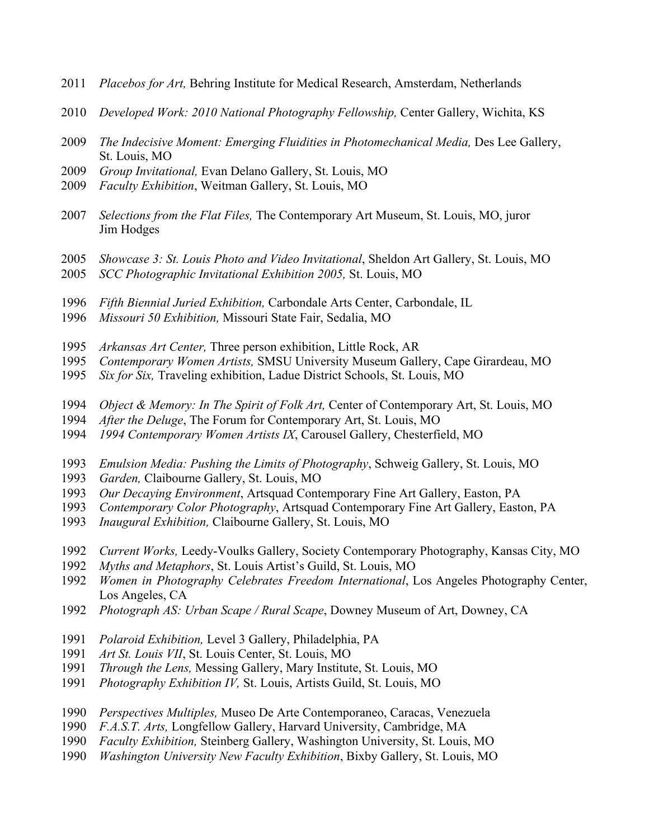- *Placebos for Art,* Behring Institute for Medical Research, Amsterdam, Netherlands
- *Developed Work: 2010 National Photography Fellowship,* Center Gallery, Wichita, KS
- *The Indecisive Moment: Emerging Fluidities in Photomechanical Media,* Des Lee Gallery, St. Louis, MO
- *Group Invitational,* Evan Delano Gallery, St. Louis, MO
- *Faculty Exhibition*, Weitman Gallery, St. Louis, MO
- *Selections from the Flat Files,* The Contemporary Art Museum, St. Louis, MO, juror Jim Hodges
- *Showcase 3: St. Louis Photo and Video Invitational*, Sheldon Art Gallery, St. Louis, MO
- *SCC Photographic Invitational Exhibition 2005,* St. Louis, MO
- *Fifth Biennial Juried Exhibition,* Carbondale Arts Center, Carbondale, IL
- *Missouri 50 Exhibition,* Missouri State Fair, Sedalia, MO
- *Arkansas Art Center,* Three person exhibition, Little Rock, AR
- *Contemporary Women Artists,* SMSU University Museum Gallery, Cape Girardeau, MO
- *Six for Six,* Traveling exhibition, Ladue District Schools, St. Louis, MO
- *Object & Memory: In The Spirit of Folk Art,* Center of Contemporary Art, St. Louis, MO
- *After the Deluge*, The Forum for Contemporary Art, St. Louis, MO
- *1994 Contemporary Women Artists IX*, Carousel Gallery, Chesterfield, MO
- *Emulsion Media: Pushing the Limits of Photography*, Schweig Gallery, St. Louis, MO
- *Garden,* Claibourne Gallery, St. Louis, MO
- *Our Decaying Environment*, Artsquad Contemporary Fine Art Gallery, Easton, PA
- *Contemporary Color Photography*, Artsquad Contemporary Fine Art Gallery, Easton, PA
- *Inaugural Exhibition,* Claibourne Gallery, St. Louis, MO
- *Current Works,* Leedy-Voulks Gallery, Society Contemporary Photography, Kansas City, MO
- *Myths and Metaphors*, St. Louis Artist's Guild, St. Louis, MO
- *Women in Photography Celebrates Freedom International*, Los Angeles Photography Center, Los Angeles, CA
- *Photograph AS: Urban Scape / Rural Scape*, Downey Museum of Art, Downey, CA
- *Polaroid Exhibition,* Level 3 Gallery, Philadelphia, PA
- *Art St. Louis VII*, St. Louis Center, St. Louis, MO
- *Through the Lens,* Messing Gallery, Mary Institute, St. Louis, MO
- *Photography Exhibition IV,* St. Louis, Artists Guild, St. Louis, MO
- *Perspectives Multiples,* Museo De Arte Contemporaneo, Caracas, Venezuela
- *F.A.S.T. Arts,* Longfellow Gallery, Harvard University, Cambridge, MA
- *Faculty Exhibition,* Steinberg Gallery, Washington University, St. Louis, MO
- *Washington University New Faculty Exhibition*, Bixby Gallery, St. Louis, MO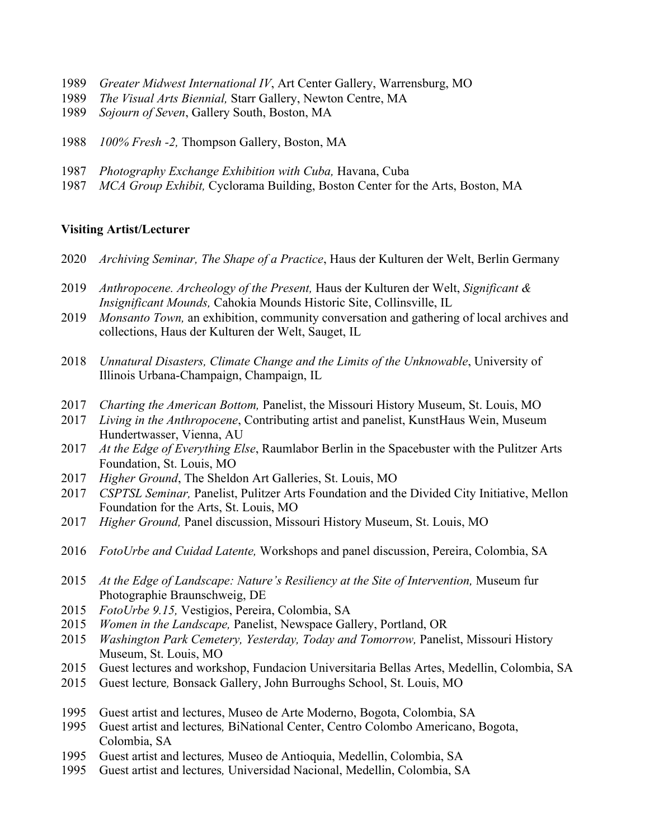- *Greater Midwest International IV*, Art Center Gallery, Warrensburg, MO
- *The Visual Arts Biennial,* Starr Gallery, Newton Centre, MA
- *Sojourn of Seven*, Gallery South, Boston, MA
- *100% Fresh -2,* Thompson Gallery, Boston, MA
- *Photography Exchange Exhibition with Cuba,* Havana, Cuba
- *MCA Group Exhibit,* Cyclorama Building, Boston Center for the Arts, Boston, MA

#### **Visiting Artist/Lecturer**

- *Archiving Seminar, The Shape of a Practice*, Haus der Kulturen der Welt, Berlin Germany
- *Anthropocene. Archeology of the Present,* Haus der Kulturen der Welt, *Significant & Insignificant Mounds,* Cahokia Mounds Historic Site, Collinsville, IL
- *Monsanto Town,* an exhibition, community conversation and gathering of local archives and collections, Haus der Kulturen der Welt, Sauget, IL
- *Unnatural Disasters, Climate Change and the Limits of the Unknowable*, University of Illinois Urbana-Champaign, Champaign, IL
- *Charting the American Bottom,* Panelist, the Missouri History Museum, St. Louis, MO
- *Living in the Anthropocene*, Contributing artist and panelist, KunstHaus Wein, Museum Hundertwasser, Vienna, AU
- *At the Edge of Everything Else*, Raumlabor Berlin in the Spacebuster with the Pulitzer Arts Foundation, St. Louis, MO
- *Higher Ground*, The Sheldon Art Galleries, St. Louis, MO
- *CSPTSL Seminar,* Panelist, Pulitzer Arts Foundation and the Divided City Initiative, Mellon Foundation for the Arts, St. Louis, MO
- *Higher Ground,* Panel discussion, Missouri History Museum, St. Louis, MO
- *FotoUrbe and Cuidad Latente,* Workshops and panel discussion, Pereira, Colombia, SA
- *At the Edge of Landscape: Nature's Resiliency at the Site of Intervention,* Museum fur Photographie Braunschweig, DE
- *FotoUrbe 9.15,* Vestigios, Pereira, Colombia, SA
- *Women in the Landscape,* Panelist, Newspace Gallery, Portland, OR
- *Washington Park Cemetery, Yesterday, Today and Tomorrow,* Panelist, Missouri History Museum, St. Louis, MO
- Guest lectures and workshop, Fundacion Universitaria Bellas Artes, Medellin, Colombia, SA
- Guest lecture*,* Bonsack Gallery, John Burroughs School, St. Louis, MO
- Guest artist and lectures, Museo de Arte Moderno, Bogota, Colombia, SA
- Guest artist and lectures*,* BiNational Center, Centro Colombo Americano, Bogota, Colombia, SA
- Guest artist and lectures*,* Museo de Antioquia, Medellin, Colombia, SA
- Guest artist and lectures*,* Universidad Nacional, Medellin, Colombia, SA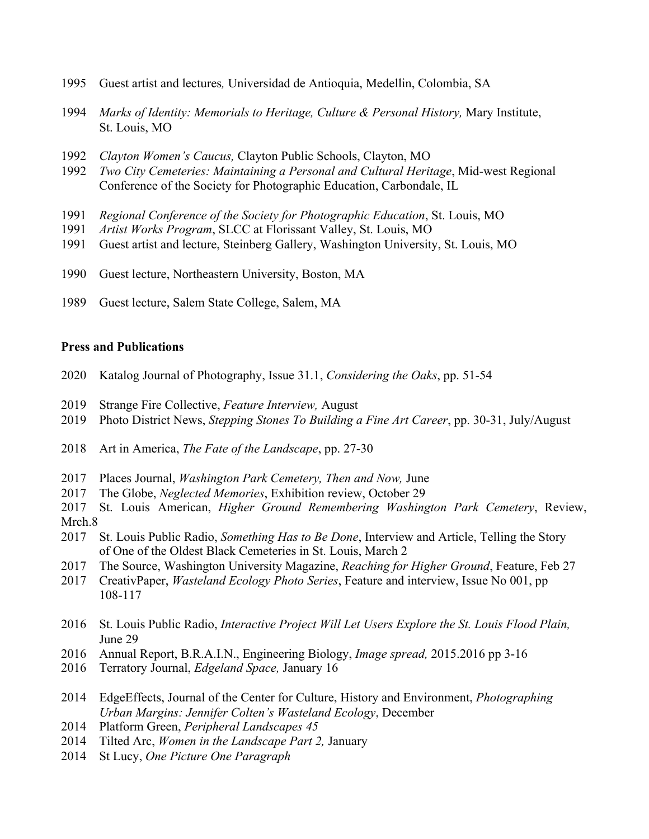- Guest artist and lectures*,* Universidad de Antioquia, Medellin, Colombia, SA
- *Marks of Identity: Memorials to Heritage, Culture & Personal History,* Mary Institute, St. Louis, MO
- *Clayton Women's Caucus,* Clayton Public Schools, Clayton, MO
- *Two City Cemeteries: Maintaining a Personal and Cultural Heritage*, Mid-west Regional Conference of the Society for Photographic Education, Carbondale, IL
- *Regional Conference of the Society for Photographic Education*, St. Louis, MO
- *Artist Works Program*, SLCC at Florissant Valley, St. Louis, MO
- Guest artist and lecture, Steinberg Gallery, Washington University, St. Louis, MO
- Guest lecture, Northeastern University, Boston, MA
- Guest lecture, Salem State College, Salem, MA

### **Press and Publications**

- Katalog Journal of Photography, Issue 31.1, *Considering the Oaks*, pp. 51-54
- Strange Fire Collective, *Feature Interview,* August
- Photo District News, *Stepping Stones To Building a Fine Art Career*, pp. 30-31, July/August
- Art in America, *The Fate of the Landscape*, pp. 27-30
- Places Journal, *Washington Park Cemetery, Then and Now,* June
- The Globe, *Neglected Memories*, Exhibition review, October 29
- St. Louis American, *Higher Ground Remembering Washington Park Cemetery*, Review, Mrch.8
- St. Louis Public Radio, *Something Has to Be Done*, Interview and Article, Telling the Story of One of the Oldest Black Cemeteries in St. Louis, March 2
- The Source, Washington University Magazine, *Reaching for Higher Ground*, Feature, Feb 27
- CreativPaper, *Wasteland Ecology Photo Series*, Feature and interview, Issue No 001, pp 108-117
- St. Louis Public Radio, *Interactive Project Will Let Users Explore the St. Louis Flood Plain,* June 29
- Annual Report, B.R.A.I.N., Engineering Biology, *Image spread,* 2015.2016 pp 3-16
- Terratory Journal, *Edgeland Space,* January 16
- EdgeEffects, Journal of the Center for Culture, History and Environment, *Photographing Urban Margins: Jennifer Colten's Wasteland Ecology*, December
- Platform Green, *Peripheral Landscapes 45*
- Tilted Arc, *Women in the Landscape Part 2,* January
- St Lucy, *One Picture One Paragraph*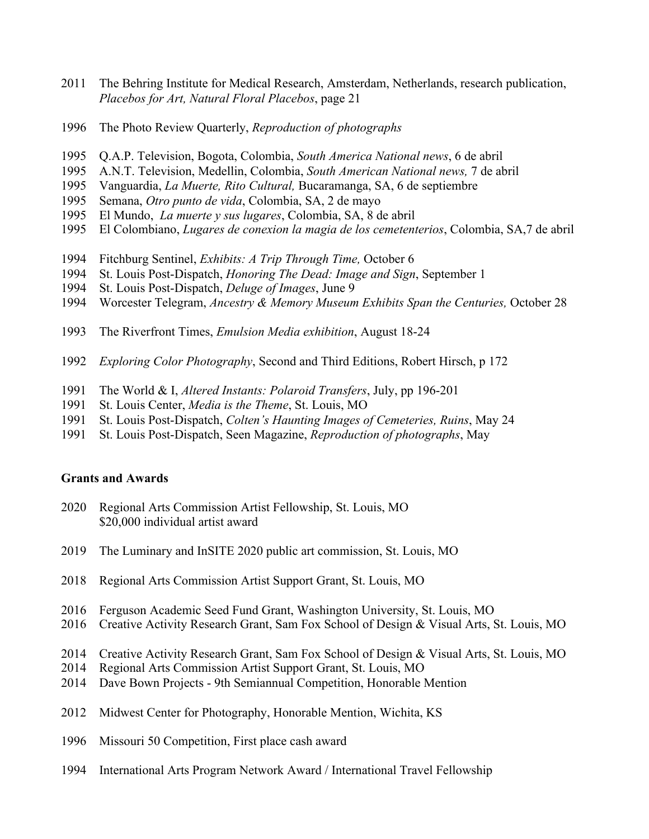- The Behring Institute for Medical Research, Amsterdam, Netherlands, research publication, *Placebos for Art, Natural Floral Placebos*, page 21
- The Photo Review Quarterly, *Reproduction of photographs*
- Q.A.P. Television, Bogota, Colombia, *South America National news*, 6 de abril
- A.N.T. Television, Medellin, Colombia, *South American National news,* 7 de abril
- Vanguardia, *La Muerte, Rito Cultural,* Bucaramanga, SA, 6 de septiembre
- Semana, *Otro punto de vida*, Colombia, SA, 2 de mayo
- El Mundo, *La muerte y sus lugares*, Colombia, SA, 8 de abril
- El Colombiano, *Lugares de conexion la magia de los cemetenterios*, Colombia, SA,7 de abril
- Fitchburg Sentinel, *Exhibits: A Trip Through Time,* October 6
- St. Louis Post-Dispatch, *Honoring The Dead: Image and Sign*, September 1
- St. Louis Post-Dispatch, *Deluge of Images*, June 9
- Worcester Telegram, *Ancestry & Memory Museum Exhibits Span the Centuries,* October 28
- The Riverfront Times, *Emulsion Media exhibition*, August 18-24
- *Exploring Color Photography*, Second and Third Editions, Robert Hirsch, p 172
- The World & I, *Altered Instants: Polaroid Transfers*, July, pp 196-201
- St. Louis Center, *Media is the Theme*, St. Louis, MO
- St. Louis Post-Dispatch, *Colten's Haunting Images of Cemeteries, Ruins*, May 24
- St. Louis Post-Dispatch, Seen Magazine, *Reproduction of photographs*, May

#### **Grants and Awards**

- Regional Arts Commission Artist Fellowship, St. Louis, MO \$20,000 individual artist award
- The Luminary and InSITE 2020 public art commission, St. Louis, MO
- Regional Arts Commission Artist Support Grant, St. Louis, MO
- Ferguson Academic Seed Fund Grant, Washington University, St. Louis, MO
- Creative Activity Research Grant, Sam Fox School of Design & Visual Arts, St. Louis, MO
- Creative Activity Research Grant, Sam Fox School of Design & Visual Arts, St. Louis, MO
- Regional Arts Commission Artist Support Grant, St. Louis, MO
- Dave Bown Projects 9th Semiannual Competition, Honorable Mention
- Midwest Center for Photography, Honorable Mention, Wichita, KS
- Missouri 50 Competition, First place cash award
- International Arts Program Network Award / International Travel Fellowship